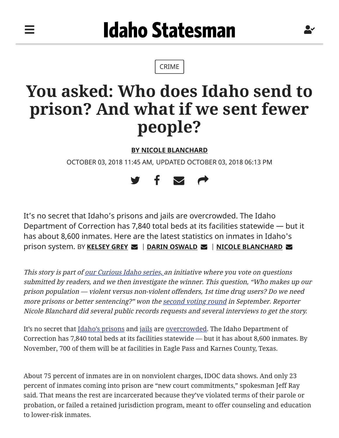═

[CRIME](https://www.idahostatesman.com/news/local/crime)

## **You asked: Who does Idaho send to prison? And what if we sent fewer people?**

**[BY NICOLE BLANCHARD](mailto:nblanchard@idahostatesman.com)**

OCTOBER 03, 2018 11:45 AM, UPDATED OCTOBER 03, 2018 06:13 PM



It's no secret that Idaho's prisons and jails are overcrowded. The Idaho Department of Correction has 7,840 total beds at its facilities statewide — but it has about 8,600 inmates. Here are the latest statistics on inmates in Idaho's prison system. BY **[KELSEY GREY](mailto:kgrey@idahostatesman.com?subject=Who%20are%20the%20inmates%20that%20make%20up%20Idaho%27s%20prison%20system?)** | **[DARIN OSWALD](mailto:doswald@idahostatesman.com?subject=Who%20are%20the%20inmates%20that%20make%20up%20Idaho%27s%20prison%20system?)** | **[NICOLE BLANCHARD](mailto:nblanchard@idahostatesman.com?subject=Who%20are%20the%20inmates%20that%20make%20up%20Idaho%27s%20prison%20system?)**

This story is part o[f our Curious Idaho series,](https://www.idahostatesman.com/news/local/crime/www.idahostatesman.com/curiousidaho) an initiative where you vote on questions submitted by readers, and we then investigate the winner. This question, "Who makes up our prison population — violent versus non-violent offenders, 1st time drug users? Do we need more prisons or better sentencing?" won the [second voting round](https://www.idahostatesman.com/news/local/article217099155.html) in September. Reporter Nicole Blanchard did several public records requests and several interviews to get the story.

It's no secret that [Idaho's prisons](https://www.idahostatesman.com/news/business/article213408184.html) and [jails](https://www.idahostatesman.com/news/local/community/canyon-county/article181149811.html) are [overcrowded.](https://www.idahostatesman.com/news/politics-government/state-politics/article213038719.html) The Idaho Department of Correction has 7,840 total beds at its facilities statewide — but it has about 8,600 inmates. By November, 700 of them will be at facilities in Eagle Pass and Karnes County, Texas.

About 75 percent of inmates are in on nonviolent charges, IDOC data shows. And only 23 percent of inmates coming into prison are "new court commitments," spokesman Jeff Ray said. That means the rest are incarcerated because they've violated terms of their parole or probation, or failed a retained jurisdiction program, meant to offer counseling and education to lower-risk inmates.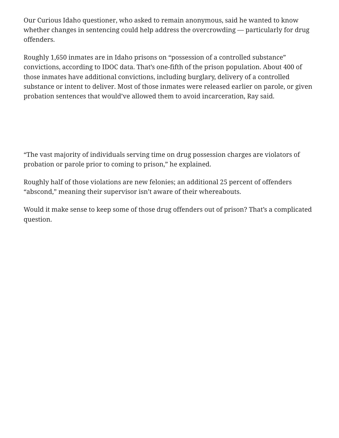Our Curious Idaho questioner, who asked to remain anonymous, said he wanted to know whether changes in sentencing could help address the overcrowding — particularly for drug offenders.

Roughly 1,650 inmates are in Idaho prisons on "possession of a controlled substance" convictions, according to IDOC data. That's one-fifth of the prison population. About 400 of those inmates have additional convictions, including burglary, delivery of a controlled substance or intent to deliver. Most of those inmates were released earlier on parole, or given probation sentences that would've allowed them to avoid incarceration, Ray said.

"The vast majority of individuals serving time on drug possession charges are violators of probation or parole prior to coming to prison," he explained.

Roughly half of those violations are new felonies; an additional 25 percent of offenders "abscond," meaning their supervisor isn't aware of their whereabouts.

Would it make sense to keep some of those drug offenders out of prison? That's a complicated question.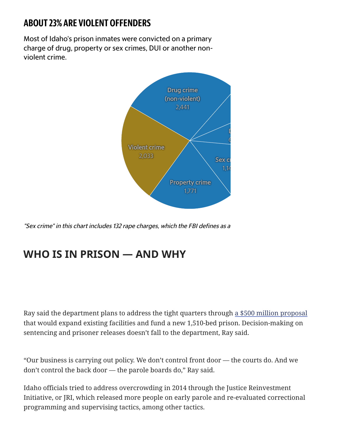## ABOUT 23% ARE VIOLENT OFFENDERS

Most of Idaho's prison inmates were convicted on a primary charge of drug, property or sex crimes, DUI or another nonviolent crime.



"Sex crime" in this chart includes 132 rape charges, which the FBI defines as <sup>a</sup>

## **WHO IS IN PRISON — AND WHY**

Ray said the department plans to address the tight quarters through [a \\$500 million proposal](https://www.idahostatesman.com/news/politics-government/state-politics/article213038719.html) that would expand existing facilities and fund a new 1,510-bed prison. Decision-making on sentencing and prisoner releases doesn't fall to the department, Ray said.

"Our business is carrying out policy. We don't control front door — the courts do. And we don't control the back door — the parole boards do," Ray said.

Idaho officials tried to address overcrowding in 2014 through the Justice Reinvestment Initiative, or JRI, which released more people on early parole and re-evaluated correctional programming and supervising tactics, among other tactics.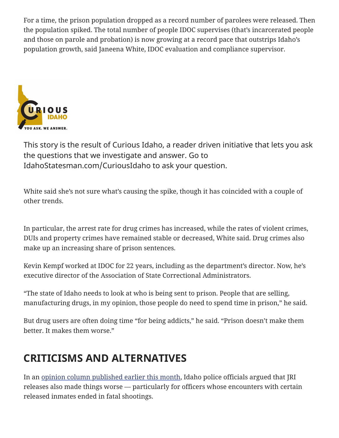For a time, the prison population dropped as a record number of parolees were released. Then the population spiked. The total number of people IDOC supervises (that's incarcerated people and those on parole and probation) is now growing at a record pace that outstrips Idaho's population growth, said Janeena White, IDOC evaluation and compliance supervisor.



This story is the result of Curious Idaho, a reader driven initiative that lets you ask the questions that we investigate and answer. Go to IdahoStatesman.com/CuriousIdaho to ask your question.

White said she's not sure what's causing the spike, though it has coincided with a couple of other trends.

In particular, the arrest rate for drug crimes has increased, while the rates of violent crimes, DUIs and property crimes have remained stable or decreased, White said. Drug crimes also make up an increasing share of prison sentences.

Kevin Kempf worked at IDOC for 22 years, including as the department's director. Now, he's executive director of the Association of State Correctional Administrators.

"The state of Idaho needs to look at who is being sent to prison. People that are selling, manufacturing drugs, in my opinion, those people do need to spend time in prison," he said.

But drug users are often doing time "for being addicts," he said. "Prison doesn't make them better. It makes them worse."

## **CRITICISMS AND ALTERNATIVES**

In an [opinion column published earlier this month,](https://www.idahostatesman.com/opinion/article218210750.html) Idaho police officials argued that JRI releases also made things worse — particularly for officers whose encounters with certain released inmates ended in fatal shootings.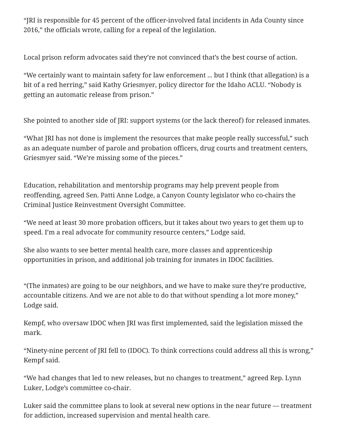"JRI is responsible for 45 percent of the officer-involved fatal incidents in Ada County since 2016," the officials wrote, calling for a repeal of the legislation.

Local prison reform advocates said they're not convinced that's the best course of action.

"We certainly want to maintain safety for law enforcement ... but I think (that allegation) is a bit of a red herring," said Kathy Griesmyer, policy director for the Idaho ACLU. "Nobody is getting an automatic release from prison."

She pointed to another side of JRI: support systems (or the lack thereof) for released inmates.

"What JRI has not done is implement the resources that make people really successful," such as an adequate number of parole and probation officers, drug courts and treatment centers, Griesmyer said. "We're missing some of the pieces."

Education, rehabilitation and mentorship programs may help prevent people from reoffending, agreed Sen. Patti Anne Lodge, a Canyon County legislator who co-chairs the Criminal Justice Reinvestment Oversight Committee.

"We need at least 30 more probation officers, but it takes about two years to get them up to speed. I'm a real advocate for community resource centers," Lodge said.

She also wants to see better mental health care, more classes and apprenticeship opportunities in prison, and additional job training for inmates in IDOC facilities.

"(The inmates) are going to be our neighbors, and we have to make sure they're productive, accountable citizens. And we are not able to do that without spending a lot more money," Lodge said.

Kempf, who oversaw IDOC when JRI was first implemented, said the legislation missed the mark.

"Ninety-nine percent of JRI fell to (IDOC). To think corrections could address all this is wrong," Kempf said.

"We had changes that led to new releases, but no changes to treatment," agreed Rep. Lynn Luker, Lodge's committee co-chair.

Luker said the committee plans to look at several new options in the near future — treatment for addiction, increased supervision and mental health care.